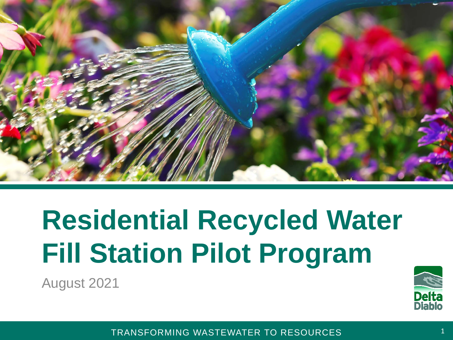

# **Residential Recycled Water Fill Station Pilot Program**

August 2021

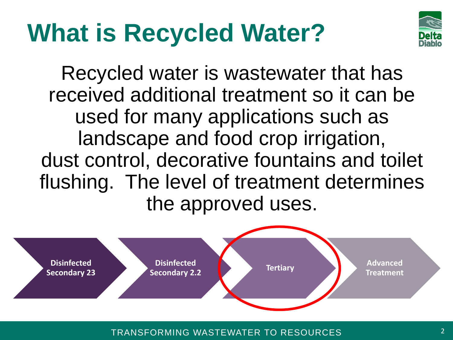#### **What is Recycled Water?**



Recycled water is wastewater that has received additional treatment so it can be used for many applications such as landscape and food crop irrigation, dust control, decorative fountains and toilet flushing. The level of treatment determines the approved uses.

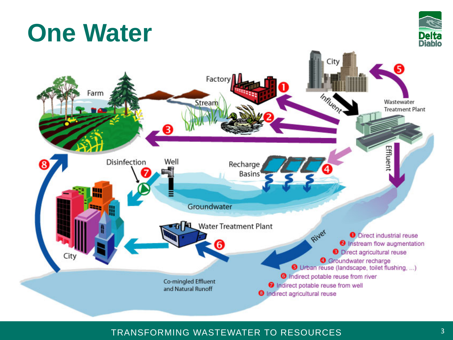#### **One Water**



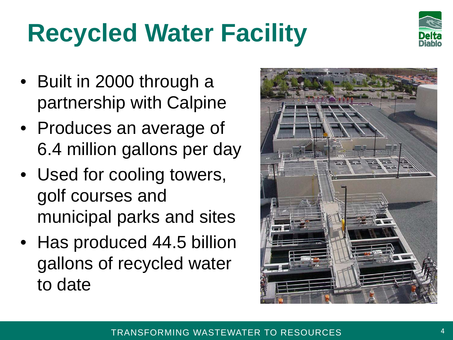## **Recycled Water Facility**



- Built in 2000 through a partnership with Calpine
- Produces an average of 6.4 million gallons per day
- Used for cooling towers, golf courses and municipal parks and sites
- Has produced 44.5 billion gallons of recycled water to date

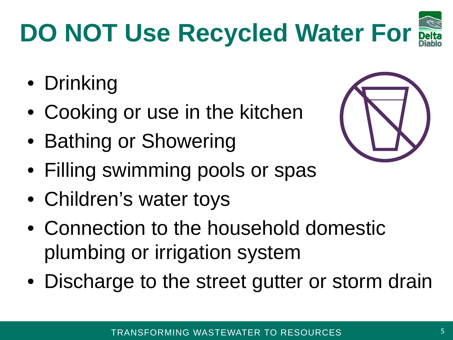# **DO NOT Use Recycled Water For**

- Drinking
- Cooking or use in the kitchen
- Bathing or Showering
- Filling swimming pools or spas
- Children's water toys
- Connection to the household domestic plumbing or irrigation system
- Discharge to the street gutter or storm drain



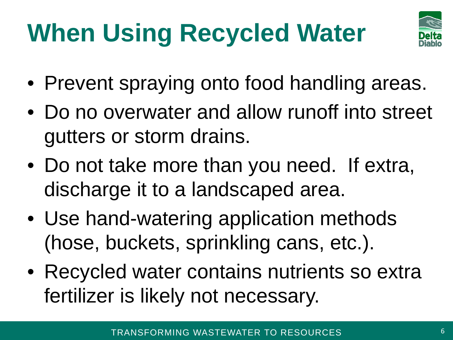# **When Using Recycled Water**



- Prevent spraying onto food handling areas.
- Do no overwater and allow runoff into street gutters or storm drains.
- Do not take more than you need. If extra, discharge it to a landscaped area.
- Use hand-watering application methods (hose, buckets, sprinkling cans, etc.).
- Recycled water contains nutrients so extra fertilizer is likely not necessary.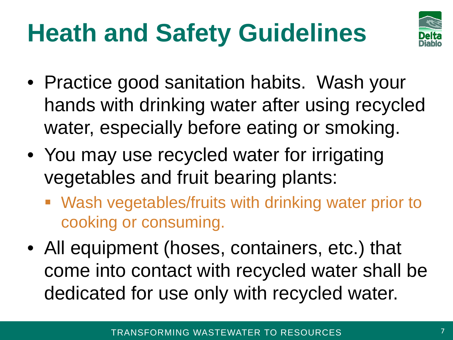## **Heath and Safety Guidelines**



- Practice good sanitation habits. Wash your hands with drinking water after using recycled water, especially before eating or smoking.
- You may use recycled water for irrigating vegetables and fruit bearing plants:
	- Wash vegetables/fruits with drinking water prior to cooking or consuming.
- All equipment (hoses, containers, etc.) that come into contact with recycled water shall be dedicated for use only with recycled water.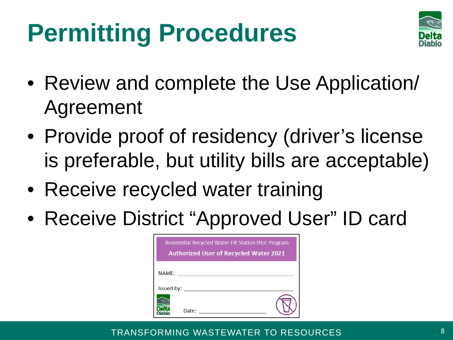#### **Permitting Procedures**



- Review and complete the Use Application/ Agreement
- Provide proof of residency (driver's license is preferable, but utility bills are acceptable)
- Receive recycled water training
- Receive District "Approved User" ID card

| Residential Recycled Water Fill Station Pilot Program<br><b>Authorized User of Recycled Water 2021</b> |       |  |
|--------------------------------------------------------------------------------------------------------|-------|--|
| NAME:                                                                                                  |       |  |
| Issued by:                                                                                             |       |  |
|                                                                                                        | Date: |  |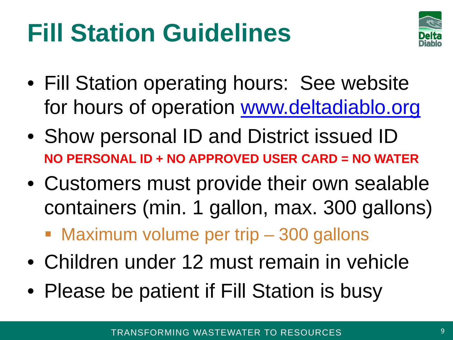#### **Fill Station Guidelines**



- Fill Station operating hours: See website for hours of operation [www.deltadiablo.org](https://www.deltadiablo.org/recycled-water-2ab9d8c)
- Show personal ID and District issued ID **NO PERSONAL ID + NO APPROVED USER CARD = NO WATER**
- Customers must provide their own sealable containers (min. 1 gallon, max. 300 gallons)
	- **Maximum volume per trip 300 gallons**
- Children under 12 must remain in vehicle
- Please be patient if Fill Station is busy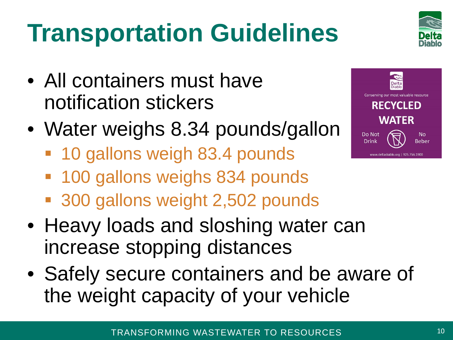## **Transportation Guidelines**

- All containers must have notification stickers
- Water weighs 8.34 pounds/gallon
	- **10 gallons weigh 83.4 pounds**
	- 100 gallons weighs 834 pounds
	- 300 gallons weight 2,502 pounds
- Heavy loads and sloshing water can increase stopping distances
- Safely secure containers and be aware of the weight capacity of your vehicle